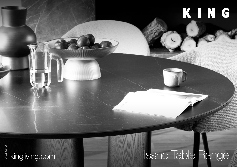# KING

#### DT2020054 V6 DT2020054 V6

## kingliving.com **ISSho Table Range**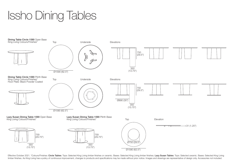## Issho Dining Tables



Effective October 2021. \*Colours/Finishes: Circle Tables: Tops: Selected King Living timber finishes or ceramic. Bases: Selected King Living timber finishes. Lazy Susan Tables: Tops: Selected ceramic. Bases: Selected King timber finishes. As King Living has a policy of continuous improvement, changes to products and specifications may be made without prior notice. Images and drawings are representative of design only. Accessories not includ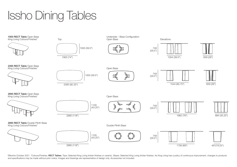Issho Dining Tables



Effective October 2021. \*Colours/Finishes: RECT Tables: Tops: Selected King Living timber finishes or ceramic. Bases: Selected King Living timber finishes. As King Living has a policy of continuous improvement, changes to and specifications may be made without prior notice. Images and drawings are representative of design only. Accessories not included.